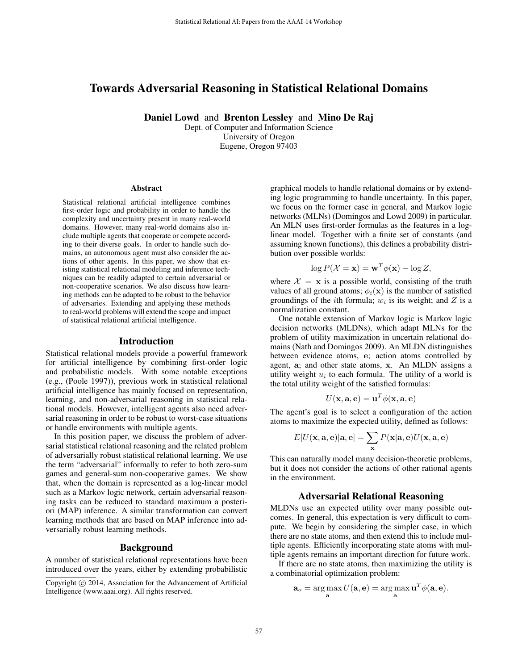# Towards Adversarial Reasoning in Statistical Relational Domains

Daniel Lowd and Brenton Lessley and Mino De Raj

Dept. of Computer and Information Science University of Oregon Eugene, Oregon 97403

#### Abstract

Statistical relational artificial intelligence combines first-order logic and probability in order to handle the complexity and uncertainty present in many real-world domains. However, many real-world domains also include multiple agents that cooperate or compete according to their diverse goals. In order to handle such domains, an autonomous agent must also consider the actions of other agents. In this paper, we show that existing statistical relational modeling and inference techniques can be readily adapted to certain adversarial or non-cooperative scenarios. We also discuss how learning methods can be adapted to be robust to the behavior of adversaries. Extending and applying these methods to real-world problems will extend the scope and impact of statistical relational artificial intelligence.

#### Introduction

Statistical relational models provide a powerful framework for artificial intelligence by combining first-order logic and probabilistic models. With some notable exceptions (e.g., (Poole 1997)), previous work in statistical relational artificial intelligence has mainly focused on representation, learning, and non-adversarial reasoning in statistical relational models. However, intelligent agents also need adversarial reasoning in order to be robust to worst-case situations or handle environments with multiple agents.

In this position paper, we discuss the problem of adversarial statistical relational reasoning and the related problem of adversarially robust statistical relational learning. We use the term "adversarial" informally to refer to both zero-sum games and general-sum non-cooperative games. We show that, when the domain is represented as a log-linear model such as a Markov logic network, certain adversarial reasoning tasks can be reduced to standard maximum a posteriori (MAP) inference. A similar transformation can convert learning methods that are based on MAP inference into adversarially robust learning methods.

### Background

A number of statistical relational representations have been introduced over the years, either by extending probabilistic

graphical models to handle relational domains or by extending logic programming to handle uncertainty. In this paper, we focus on the former case in general, and Markov logic networks (MLNs) (Domingos and Lowd 2009) in particular. An MLN uses first-order formulas as the features in a loglinear model. Together with a finite set of constants (and assuming known functions), this defines a probability distribution over possible worlds:

$$
\log P(\mathcal{X} = \mathbf{x}) = \mathbf{w}^T \phi(\mathbf{x}) - \log Z,
$$

where  $X = x$  is a possible world, consisting of the truth values of all ground atoms;  $\phi_i(\mathbf{x})$  is the number of satisfied groundings of the *i*th formula;  $w_i$  is its weight; and Z is a normalization constant.

One notable extension of Markov logic is Markov logic decision networks (MLDNs), which adapt MLNs for the problem of utility maximization in uncertain relational domains (Nath and Domingos 2009). An MLDN distinguishes between evidence atoms, e; action atoms controlled by agent, a; and other state atoms, x. An MLDN assigns a utility weight  $u_i$  to each formula. The utility of a world is the total utility weight of the satisfied formulas:

$$
U(\mathbf{x}, \mathbf{a}, \mathbf{e}) = \mathbf{u}^T \phi(\mathbf{x}, \mathbf{a}, \mathbf{e})
$$

The agent's goal is to select a configuration of the action atoms to maximize the expected utility, defined as follows:

$$
E[U(\mathbf{x}, \mathbf{a}, \mathbf{e})|\mathbf{a}, \mathbf{e}] = \sum_{\mathbf{x}} P(\mathbf{x}|\mathbf{a}, \mathbf{e}) U(\mathbf{x}, \mathbf{a}, \mathbf{e})
$$

This can naturally model many decision-theoretic problems, but it does not consider the actions of other rational agents in the environment.

### Adversarial Relational Reasoning

MLDNs use an expected utility over many possible outcomes. In general, this expectation is very difficult to compute. We begin by considering the simpler case, in which there are no state atoms, and then extend this to include multiple agents. Efficiently incorporating state atoms with multiple agents remains an important direction for future work.

If there are no state atoms, then maximizing the utility is a combinatorial optimization problem:

$$
\mathbf{a}_o = \arg\max_{\mathbf{a}} U(\mathbf{a}, \mathbf{e}) = \arg\max_{\mathbf{a}} \mathbf{u}^T \phi(\mathbf{a}, \mathbf{e}).
$$

Copyright (c) 2014, Association for the Advancement of Artificial Intelligence (www.aaai.org). All rights reserved.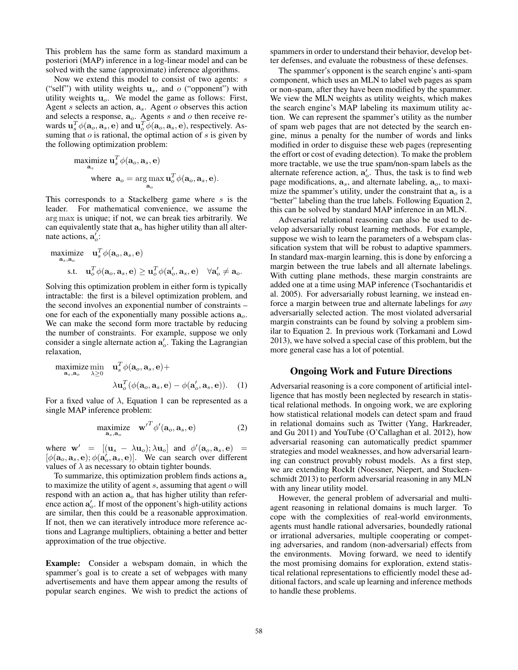This problem has the same form as standard maximum a posteriori (MAP) inference in a log-linear model and can be solved with the same (approximate) inference algorithms.

Now we extend this model to consist of two agents: s ("self") with utility weights  $\mathbf{u}_s$ , and  $o$  ("opponent") with utility weights  $\mathbf{u}_o$ . We model the game as follows: First, Agent s selects an action,  $a_s$ . Agent o observes this action and selects a response,  $a<sub>o</sub>$ . Agents s and o then receive rewards  $\mathbf{u}_s^T \phi(\mathbf{a}_o, \mathbf{a}_s, \mathbf{e})$  and  $\mathbf{u}_o^T \phi(\mathbf{a}_o, \mathbf{a}_s, \mathbf{e})$ , respectively. Assuming that  $o$  is rational, the optimal action of  $s$  is given by the following optimization problem:

$$
\begin{aligned}\n\text{maximize } \mathbf{u}_s^T \phi(\mathbf{a}_o, \mathbf{a}_s, \mathbf{e}) \\
&\text{where } \mathbf{a}_o = \arg \max_{\mathbf{a}_o} \mathbf{u}_o^T \phi(\mathbf{a}_o, \mathbf{a}_s, \mathbf{e}).\n\end{aligned}
$$

This corresponds to a Stackelberg game where  $s$  is the leader. For mathematical convenience, we assume the arg max is unique; if not, we can break ties arbitrarily. We can equivalently state that  $a<sub>o</sub>$  has higher utility than all alternate actions,  $\mathbf{a}'_o$ :

$$
\begin{aligned} & \underset{\mathbf{a}_s, \mathbf{a}_o}{\text{maximize}} & & \mathbf{u}_s^T \phi(\mathbf{a}_o, \mathbf{a}_s, \mathbf{e}) \\ & \text{s.t.} & & \mathbf{u}_o^T \phi(\mathbf{a}_o, \mathbf{a}_s, \mathbf{e}) \geq \mathbf{u}_o^T \phi(\mathbf{a}_o', \mathbf{a}_s, \mathbf{e}) & & \forall \mathbf{a}_o' \neq \mathbf{a}_o. \end{aligned}
$$

Solving this optimization problem in either form is typically intractable: the first is a bilevel optimization problem, and the second involves an exponential number of constraints – one for each of the exponentially many possible actions  $a_0$ . We can make the second form more tractable by reducing the number of constraints. For example, suppose we only consider a single alternate action  $a'_o$ . Taking the Lagrangian relaxation,

$$
\begin{array}{ll}\n\text{maximize } \min_{\mathbf{a}_s, \mathbf{a}_o} & \mathbf{u}_s^T \phi(\mathbf{a}_o, \mathbf{a}_s, \mathbf{e}) + \\
& \lambda \mathbf{u}_o^T (\phi(\mathbf{a}_o, \mathbf{a}_s, \mathbf{e}) - \phi(\mathbf{a}_o', \mathbf{a}_s, \mathbf{e})).\n\end{array} \tag{1}
$$

For a fixed value of  $\lambda$ , Equation 1 can be represented as a single MAP inference problem:

$$
\underset{\mathbf{a}_s, \mathbf{a}_o}{\text{maximize}} \quad \mathbf{w}^{\prime T} \phi^{\prime}(\mathbf{a}_o, \mathbf{a}_s, \mathbf{e}) \tag{2}
$$

where  $\mathbf{w}' = [(\mathbf{u}_s - \lambda \mathbf{u}_o); \lambda \mathbf{u}_o]$  and  $\phi'(\mathbf{a}_o, \mathbf{a}_s, \mathbf{e}) =$  $[\phi(\mathbf{a}_o, \mathbf{a}_s, \mathbf{e}); \phi(\mathbf{a}_o', \mathbf{a}_s, \mathbf{e})]$ . We can search over different values of  $\lambda$  as necessary to obtain tighter bounds.

To summarize, this optimization problem finds actions  $a_s$ to maximize the utility of agent  $s$ , assuming that agent  $o$  will respond with an action  $a<sub>o</sub>$  that has higher utility than reference action  $a'_o$ . If most of the opponent's high-utility actions are similar, then this could be a reasonable approximation. If not, then we can iteratively introduce more reference actions and Lagrange multipliers, obtaining a better and better approximation of the true objective.

Example: Consider a webspam domain, in which the spammer's goal is to create a set of webpages with many advertisements and have them appear among the results of popular search engines. We wish to predict the actions of spammers in order to understand their behavior, develop better defenses, and evaluate the robustness of these defenses.

The spammer's opponent is the search engine's anti-spam component, which uses an MLN to label web pages as spam or non-spam, after they have been modified by the spammer. We view the MLN weights as utility weights, which makes the search engine's MAP labeling its maximum utility action. We can represent the spammer's utility as the number of spam web pages that are not detected by the search engine, minus a penalty for the number of words and links modified in order to disguise these web pages (representing the effort or cost of evading detection). To make the problem more tractable, we use the true spam/non-spam labels as the alternate reference action,  $a'_o$ . Thus, the task is to find web page modifications,  $a_s$ , and alternate labeling,  $a_o$ , to maximize the spammer's utility, under the constraint that  $a<sub>o</sub>$  is a "better" labeling than the true labels. Following Equation 2, this can be solved by standard MAP inference in an MLN.

Adversarial relational reasoning can also be used to develop adversarially robust learning methods. For example, suppose we wish to learn the parameters of a webspam classification system that will be robust to adaptive spammers. In standard max-margin learning, this is done by enforcing a margin between the true labels and all alternate labelings. With cutting plane methods, these margin constraints are added one at a time using MAP inference (Tsochantaridis et al. 2005). For adversarially robust learning, we instead enforce a margin between true and alternate labelings for *any* adversarially selected action. The most violated adversarial margin constraints can be found by solving a problem similar to Equation 2. In previous work (Torkamani and Lowd 2013), we have solved a special case of this problem, but the more general case has a lot of potential.

# Ongoing Work and Future Directions

Adversarial reasoning is a core component of artificial intelligence that has mostly been neglected by research in statistical relational methods. In ongoing work, we are exploring how statistical relational models can detect spam and fraud in relational domains such as Twitter (Yang, Harkreader, and Gu 2011) and YouTube (O'Callaghan et al. 2012), how adversarial reasoning can automatically predict spammer strategies and model weaknesses, and how adversarial learning can construct provably robust models. As a first step, we are extending RockIt (Noessner, Niepert, and Stuckenschmidt 2013) to perform adversarial reasoning in any MLN with any linear utility model.

However, the general problem of adversarial and multiagent reasoning in relational domains is much larger. To cope with the complexities of real-world environments, agents must handle rational adversaries, boundedly rational or irrational adversaries, multiple cooperating or competing adversaries, and random (non-adversarial) effects from the environments. Moving forward, we need to identify the most promising domains for exploration, extend statistical relational representations to efficiently model these additional factors, and scale up learning and inference methods to handle these problems.